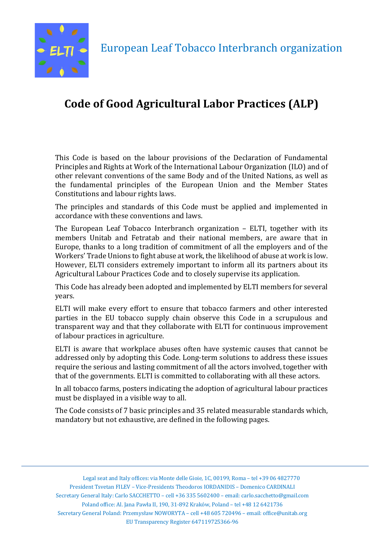

# **Code of Good Agricultural Labor Practices (ALP)**

This Code is based on the labour provisions of the Declaration of Fundamental Principles and Rights at Work of the International Labour Organization (ILO) and of other relevant conventions of the same Body and of the United Nations, as well as the fundamental principles of the European Union and the Member States Constitutions and labour rights laws.

The principles and standards of this Code must be applied and implemented in accordance with these conventions and laws.

The European Leaf Tobacco Interbranch organization  $-$  ELTI, together with its members Unitab and Fetratab and their national members, are aware that in Europe, thanks to a long tradition of commitment of all the employers and of the Workers' Trade Unions to fight abuse at work, the likelihood of abuse at work is low. However, ELTI considers extremely important to inform all its partners about its Agricultural Labour Practices Code and to closely supervise its application.

This Code has already been adopted and implemented by ELTI members for several years.

ELTI will make every effort to ensure that tobacco farmers and other interested parties in the EU tobacco supply chain observe this Code in a scrupulous and transparent way and that they collaborate with ELTI for continuous improvement of labour practices in agriculture.

ELTI is aware that workplace abuses often have systemic causes that cannot be addressed only by adopting this Code. Long-term solutions to address these issues require the serious and lasting commitment of all the actors involved, together with that of the governments. ELTI is committed to collaborating with all these actors.

In all tobacco farms, posters indicating the adoption of agricultural labour practices must be displayed in a visible way to all.

The Code consists of 7 basic principles and 35 related measurable standards which, mandatory but not exhaustive, are defined in the following pages.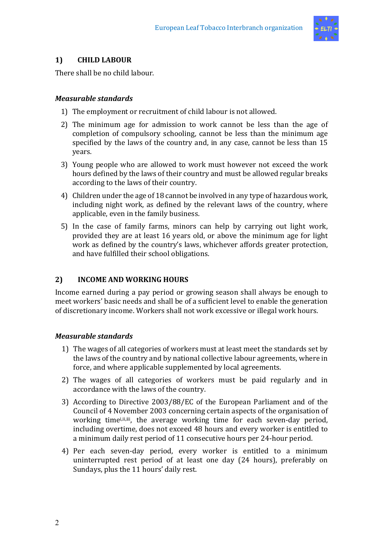

# **1) CHILD LABOUR**

There shall be no child labour.

# *Measurable standards*

- 1) The employment or recruitment of child labour is not allowed.
- 2) The minimum age for admission to work cannot be less than the age of completion of compulsory schooling, cannot be less than the minimum age specified by the laws of the country and, in any case, cannot be less than 15 years.
- 3) Young people who are allowed to work must however not exceed the work hours defined by the laws of their country and must be allowed regular breaks according to the laws of their country.
- 4) Children under the age of 18 cannot be involved in any type of hazardous work, including night work, as defined by the relevant laws of the country, where applicable, even in the family business.
- 5) In the case of family farms, minors can help by carrying out light work, provided they are at least 16 years old, or above the minimum age for light work as defined by the country's laws, whichever affords greater protection, and have fulfilled their school obligations.

# 2) **INCOME AND WORKING HOURS**

Income earned during a pay period or growing season shall always be enough to meet workers' basic needs and shall be of a sufficient level to enable the generation of discretionary income. Workers shall not work excessive or illegal work hours.

# *Measurable standards*

- 1) The wages of all categories of workers must at least meet the standards set by the laws of the country and by national collective labour agreements, where in force, and where applicable supplemented by local agreements.
- 2) The wages of all categories of workers must be paid regularly and in accordance with the laws of the country.
- 3) According to Directive 2003/88/EC of the European Parliament and of the Council of 4 November 2003 concerning certain aspects of the organisation of working timei,ii,iii, the average working time for each seven-day period, including overtime, does not exceed 48 hours and every worker is entitled to a minimum daily rest period of 11 consecutive hours per 24-hour period.
- 4) Per each seven-day period, every worker is entitled to a minimum uninterrupted rest period of at least one day (24 hours), preferably on Sundays, plus the 11 hours' daily rest.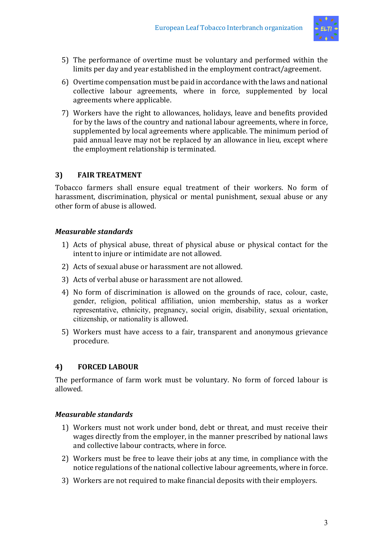

- 5) The performance of overtime must be voluntary and performed within the limits per day and year established in the employment contract/agreement.
- 6) Overtime compensation must be paid in accordance with the laws and national collective labour agreements, where in force, supplemented by local agreements where applicable.
- 7) Workers have the right to allowances, holidays, leave and benefits provided for by the laws of the country and national labour agreements, where in force, supplemented by local agreements where applicable. The minimum period of paid annual leave may not be replaced by an allowance in lieu, except where the employment relationship is terminated.

# **3) FAIR TREATMENT**

Tobacco farmers shall ensure equal treatment of their workers. No form of harassment, discrimination, physical or mental punishment, sexual abuse or any other form of abuse is allowed.

# *Measurable standards*

- 1) Acts of physical abuse, threat of physical abuse or physical contact for the intent to injure or intimidate are not allowed.
- 2) Acts of sexual abuse or harassment are not allowed.
- 3) Acts of verbal abuse or harassment are not allowed.
- 4) No form of discrimination is allowed on the grounds of race, colour, caste, gender, religion, political affiliation, union membership, status as a worker representative, ethnicity, pregnancy, social origin, disability, sexual orientation, citizenship, or nationality is allowed.
- 5) Workers must have access to a fair, transparent and anonymous grievance procedure.

# **4) FORCED LABOUR**

The performance of farm work must be voluntary. No form of forced labour is allowed.

#### *Measurable standards*

- 1) Workers must not work under bond, debt or threat, and must receive their wages directly from the employer, in the manner prescribed by national laws and collective labour contracts, where in force.
- 2) Workers must be free to leave their jobs at any time, in compliance with the notice regulations of the national collective labour agreements, where in force.
- 3) Workers are not required to make financial deposits with their employers.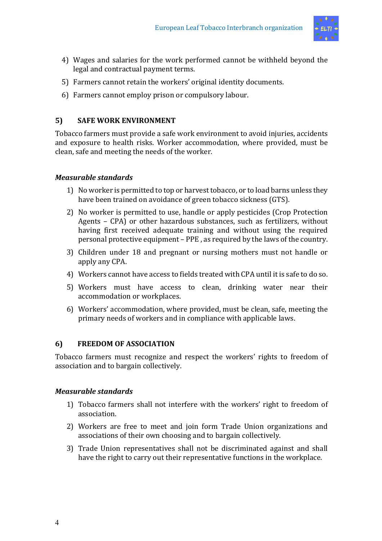

- 4) Wages and salaries for the work performed cannot be withheld beyond the legal and contractual payment terms.
- 5) Farmers cannot retain the workers' original identity documents.
- 6) Farmers cannot employ prison or compulsory labour.

# **5) SAFE WORK ENVIRONMENT**

Tobacco farmers must provide a safe work environment to avoid injuries, accidents and exposure to health risks. Worker accommodation, where provided, must be clean, safe and meeting the needs of the worker.

# *Measurable standards*

- 1) No worker is permitted to top or harvest tobacco, or to load barns unless they have been trained on avoidance of green tobacco sickness (GTS).
- 2) No worker is permitted to use, handle or apply pesticides (Crop Protection Agents - CPA) or other hazardous substances, such as fertilizers, without having first received adequate training and without using the required personal protective equipment – PPE, as required by the laws of the country.
- 3) Children under 18 and pregnant or nursing mothers must not handle or apply any CPA.
- 4) Workers cannot have access to fields treated with CPA until it is safe to do so.
- 5) Workers must have access to clean, drinking water near their accommodation or workplaces.
- 6) Workers' accommodation, where provided, must be clean, safe, meeting the primary needs of workers and in compliance with applicable laws.

#### **6) FREEDOM OF ASSOCIATION**

Tobacco farmers must recognize and respect the workers' rights to freedom of association and to bargain collectively.

#### *Measurable standards*

- 1) Tobacco farmers shall not interfere with the workers' right to freedom of association.
- 2) Workers are free to meet and join form Trade Union organizations and associations of their own choosing and to bargain collectively.
- 3) Trade Union representatives shall not be discriminated against and shall have the right to carry out their representative functions in the workplace.